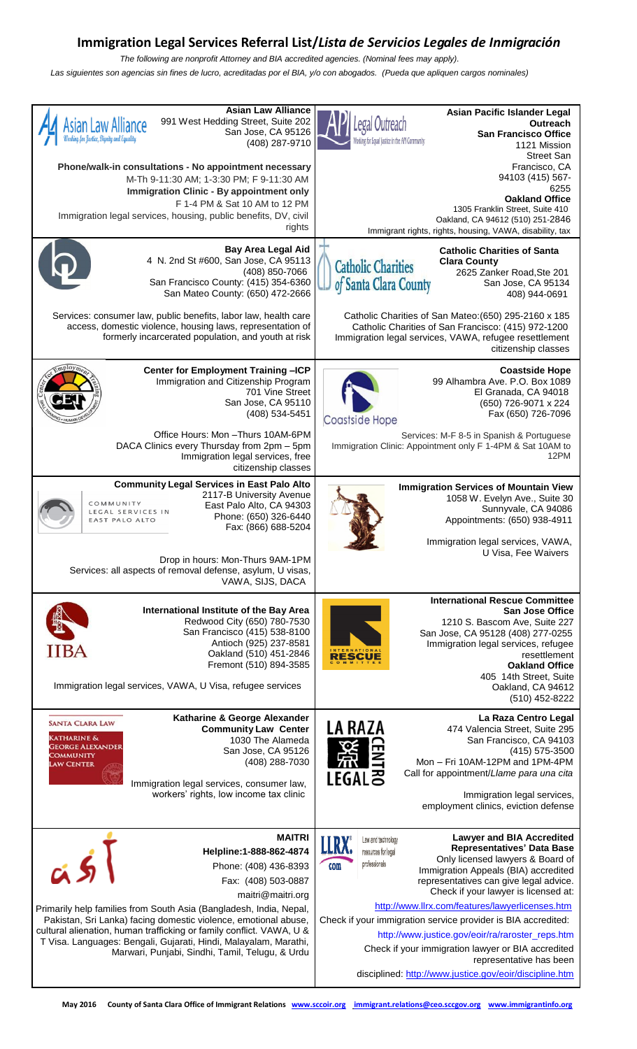## **Immigration Legal Services Referral List/***Lista de Servicios Legales de Inmigración*

*The following are nonprofit Attorney and BIA accredited agencies. (Nominal fees may apply)*. *Las siguientes son agencias sin fines de lucro, acreditadas por el BIA, y/o con abogados. (Pueda que apliquen cargos nominales)*

| <b>Asian Law Alliance</b><br>991 West Hedding Street, Suite 202<br>Asian Law Alliance<br>San Jose, CA 95126<br>(408) 287-9710                                                                                                                                                                                                        | Asian Pacific Islander Legal<br>egal Outreach<br>Outreach<br><b>San Francisco Office</b><br>orking for Equal Justice in the API Community<br>1121 Mission<br><b>Street San</b>                                                                                                                                    |
|--------------------------------------------------------------------------------------------------------------------------------------------------------------------------------------------------------------------------------------------------------------------------------------------------------------------------------------|-------------------------------------------------------------------------------------------------------------------------------------------------------------------------------------------------------------------------------------------------------------------------------------------------------------------|
| Phone/walk-in consultations - No appointment necessary<br>M-Th 9-11:30 AM; 1-3:30 PM; F 9-11:30 AM<br>Immigration Clinic - By appointment only<br>F 1-4 PM & Sat 10 AM to 12 PM                                                                                                                                                      | Francisco, CA<br>94103 (415) 567-<br>6255<br><b>Oakland Office</b>                                                                                                                                                                                                                                                |
| Immigration legal services, housing, public benefits, DV, civil<br>rights                                                                                                                                                                                                                                                            | 1305 Franklin Street, Suite 410<br>Oakland, CA 94612 (510) 251-2846<br>Immigrant rights, rights, housing, VAWA, disability, tax                                                                                                                                                                                   |
| <b>Bay Area Legal Aid</b><br>4 N. 2nd St #600, San Jose, CA 95113<br>(408) 850-7066<br>San Francisco County: (415) 354-6360<br>San Mateo County: (650) 472-2666                                                                                                                                                                      | <b>Catholic Charities of Santa</b><br><b>Clara County</b><br><b>Catholic Charities</b><br>2625 Zanker Road, Ste 201<br>of Santa Clara County<br>San Jose, CA 95134<br>408) 944-0691                                                                                                                               |
| Services: consumer law, public benefits, labor law, health care<br>access, domestic violence, housing laws, representation of<br>formerly incarcerated population, and youth at risk                                                                                                                                                 | Catholic Charities of San Mateo: (650) 295-2160 x 185<br>Catholic Charities of San Francisco: (415) 972-1200<br>Immigration legal services, VAWA, refugee resettlement<br>citizenship classes                                                                                                                     |
| Center for Employment Training -ICP<br>Immigration and Citizenship Program<br>701 Vine Street<br>San Jose, CA 95110<br>(408) 534-5451                                                                                                                                                                                                | <b>Coastside Hope</b><br>99 Alhambra Ave. P.O. Box 1089<br>El Granada, CA 94018<br>(650) 726-9071 x 224<br>Fax (650) 726-7096<br><b>Coastside Hope</b>                                                                                                                                                            |
| Office Hours: Mon - Thurs 10AM-6PM<br>DACA Clinics every Thursday from 2pm - 5pm<br>Immigration legal services, free<br>citizenship classes                                                                                                                                                                                          | Services: M-F 8-5 in Spanish & Portuguese<br>Immigration Clinic: Appointment only F 1-4PM & Sat 10AM to<br>12PM                                                                                                                                                                                                   |
| <b>Community Legal Services in East Palo Alto</b><br>2117-B University Avenue<br>COMMUNITY<br>East Palo Alto, CA 94303<br>LEGAL SERVICES IN<br>Phone: (650) 326-6440<br><b>EAST PALO ALTO</b><br>Fax: (866) 688-5204                                                                                                                 | <b>Immigration Services of Mountain View</b><br>1058 W. Evelyn Ave., Suite 30<br>Sunnyvale, CA 94086<br>Appointments: (650) 938-4911<br>Immigration legal services, VAWA,                                                                                                                                         |
| Drop in hours: Mon-Thurs 9AM-1PM<br>Services: all aspects of removal defense, asylum, U visas,<br>VAWA, SIJS, DACA                                                                                                                                                                                                                   | U Visa, Fee Waivers                                                                                                                                                                                                                                                                                               |
| International Institute of the Bay Area<br>Redwood City (650) 780-7530<br>San Francisco (415) 538-8100<br>Antioch (925) 237-8581<br>IIBA<br>Oakland (510) 451-2846<br>Fremont (510) 894-3585                                                                                                                                         | <b>International Rescue Committee</b><br><b>San Jose Office</b><br>1210 S. Bascom Ave, Suite 227<br>San Jose, CA 95128 (408) 277-0255<br>Immigration legal services, refugee<br>RESCUE<br>resettlement<br><b>Oakland Office</b>                                                                                   |
| Immigration legal services, VAWA, U Visa, refugee services                                                                                                                                                                                                                                                                           | 405 14th Street, Suite<br>Oakland, CA 94612<br>(510) 452-8222                                                                                                                                                                                                                                                     |
| Katharine & George Alexander<br><b>SANTA CLARA LAW</b><br><b>Community Law Center</b><br>KATHARINE &<br>1030 The Alameda<br><b>GEORGE ALEXANDER</b><br>San Jose, CA 95126<br><b>COMMUNITY</b><br>(408) 288-7030<br>Law Center<br>Immigration legal services, consumer law,<br>workers' rights, low income tax clinic                 | La Raza Centro Legal<br><b>LA RAZA</b><br>474 Valencia Street, Suite 295<br>San Francisco, CA 94103<br>(415) 575-3500<br>Mon - Fri 10AM-12PM and 1PM-4PM<br>Call for appointment/Llame para una cita<br>LEGALる<br>Immigration legal services,                                                                     |
|                                                                                                                                                                                                                                                                                                                                      | employment clinics, eviction defense                                                                                                                                                                                                                                                                              |
| <b>MAITRI</b><br>Helpline:1-888-862-4874<br>$a\overrightarrow{5}$<br>Phone: (408) 436-8393<br>Fax: (408) 503-0887<br>maitri@maitri.org                                                                                                                                                                                               | <b>Lawyer and BIA Accredited</b><br>Law and technology<br>LLRX°<br><b>Representatives' Data Base</b><br>resources for legal<br>Only licensed lawyers & Board of<br>professionals<br>com<br>Immigration Appeals (BIA) accredited<br>representatives can give legal advice.<br>Check if your lawyer is licensed at: |
| Primarily help families from South Asia (Bangladesh, India, Nepal,<br>Pakistan, Sri Lanka) facing domestic violence, emotional abuse,<br>cultural alienation, human trafficking or family conflict. VAWA, U &<br>T Visa. Languages: Bengali, Gujarati, Hindi, Malayalam, Marathi,<br>Marwari, Punjabi, Sindhi, Tamil, Telugu, & Urdu | http://www.llrx.com/features/lawyerlicenses.htm<br>Check if your immigration service provider is BIA accredited:<br>http://www.justice.gov/eoir/ra/raroster_reps.htm<br>Check if your immigration lawyer or BIA accredited<br>representative has been<br>disciplined: http://www.justice.gov/eoir/discipline.htm  |